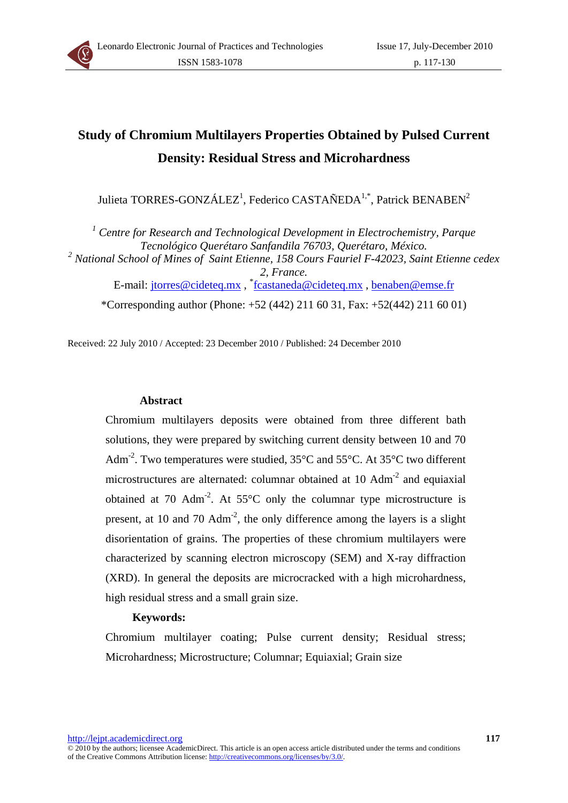

# **Study of Chromium Multilayers Properties Obtained by Pulsed Current Density: Residual Stress and Microhardness**

Julieta TORRES-GONZÁLEZ<sup>1</sup>, Federico CASTAÑEDA<sup>1,\*</sup>, Patrick BENABEN<sup>2</sup>

<sup>1</sup> Centre for Research and Technological Development in Electrochemistry, Parque *Tecnológico Querétaro Sanfandila 76703, Querétaro, México.*  <sup>2</sup> National School of Mines of Saint Etienne, 158 Cours Fauriel F-42023, Saint Etienne cedex *2, France.*  E-mail: jtorres@cideteq.mx , \*fcastaneda@cideteq.mx , benaben@emse.fr \*Corresponding author (Phone: +52 (442) 211 60 31, Fax: +52(442) 211 60 01)

Received: 22 July 2010 / Accepted: 23 December 2010 / Published: 24 December 2010

#### **Abstract**

Chromium multilayers deposits were obtained from three different bath solutions, they were prepared by switching current density between 10 and 70 Adm-2. Two temperatures were studied, 35°C and 55°C. At 35°C two different microstructures are alternated: columnar obtained at 10 Adm<sup>-2</sup> and equiaxial obtained at 70 Adm<sup>-2</sup>. At 55 $\degree$ C only the columnar type microstructure is present, at 10 and 70  $Adm<sup>-2</sup>$ , the only difference among the layers is a slight disorientation of grains. The properties of these chromium multilayers were characterized by scanning electron microscopy (SEM) and X-ray diffraction (XRD). In general the deposits are microcracked with a high microhardness, high residual stress and a small grain size.

#### **Keywords:**

Chromium multilayer coating; Pulse current density; Residual stress; Microhardness; Microstructure; Columnar; Equiaxial; Grain size

http://lejpt.academicdirect.org

<sup>© 2010</sup> by the authors; licensee AcademicDirect. This article is an open access article distributed under the terms and conditions of the Creative Commons Attribution license: http://creativecommons.org/licenses/by/3.0/.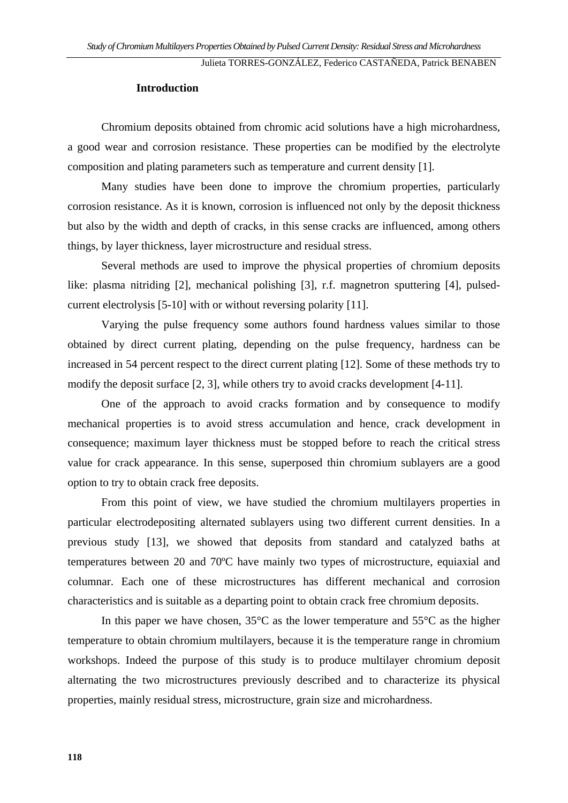#### **Introduction**

Chromium deposits obtained from chromic acid solutions have a high microhardness, a good wear and corrosion resistance. These properties can be modified by the electrolyte composition and plating parameters such as temperature and current density [1].

Many studies have been done to improve the chromium properties, particularly corrosion resistance. As it is known, corrosion is influenced not only by the deposit thickness but also by the width and depth of cracks, in this sense cracks are influenced, among others things, by layer thickness, layer microstructure and residual stress.

Several methods are used to improve the physical properties of chromium deposits like: plasma nitriding [2], mechanical polishing [3], r.f. magnetron sputtering [4], pulsedcurrent electrolysis [5-10] with or without reversing polarity [11].

Varying the pulse frequency some authors found hardness values similar to those obtained by direct current plating, depending on the pulse frequency, hardness can be increased in 54 percent respect to the direct current plating [12]. Some of these methods try to modify the deposit surface [2, 3], while others try to avoid cracks development [4-11].

One of the approach to avoid cracks formation and by consequence to modify mechanical properties is to avoid stress accumulation and hence, crack development in consequence; maximum layer thickness must be stopped before to reach the critical stress value for crack appearance. In this sense, superposed thin chromium sublayers are a good option to try to obtain crack free deposits.

From this point of view, we have studied the chromium multilayers properties in particular electrodepositing alternated sublayers using two different current densities. In a previous study [13], we showed that deposits from standard and catalyzed baths at temperatures between 20 and 70ºC have mainly two types of microstructure, equiaxial and columnar. Each one of these microstructures has different mechanical and corrosion characteristics and is suitable as a departing point to obtain crack free chromium deposits.

In this paper we have chosen,  $35^{\circ}$ C as the lower temperature and  $55^{\circ}$ C as the higher temperature to obtain chromium multilayers, because it is the temperature range in chromium workshops. Indeed the purpose of this study is to produce multilayer chromium deposit alternating the two microstructures previously described and to characterize its physical properties, mainly residual stress, microstructure, grain size and microhardness.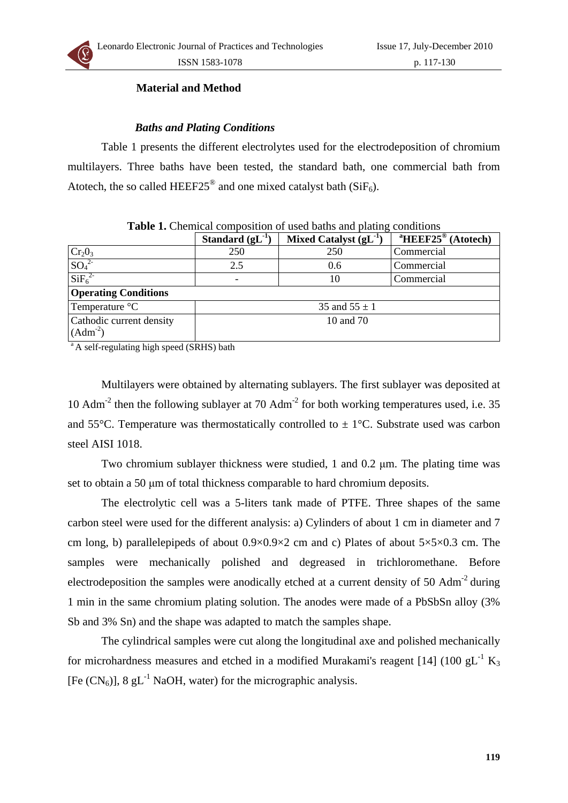## **Material and Method**

#### *Baths and Plating Conditions*

Table 1 presents the different electrolytes used for the electrodeposition of chromium multilayers. Three baths have been tested, the standard bath, one commercial bath from Atotech, the so called HEEF25<sup>®</sup> and one mixed catalyst bath (SiF<sub>6</sub>).

| <b>Twore 1.</b> Chemical composition of asca baths and plating conditions |                   |                                  |                                     |  |  |  |
|---------------------------------------------------------------------------|-------------------|----------------------------------|-------------------------------------|--|--|--|
|                                                                           | Standard $(gL-1)$ | Mixed Catalyst (gL <sup>-1</sup> | $\mathrm{HEEF25}^{\circ}$ (Atotech) |  |  |  |
| Cr <sub>2</sub> O <sub>3</sub>                                            | 250               | 250                              | Commercial                          |  |  |  |
| SO <sub>4</sub> <sup>2</sup>                                              | 2.5               | 0.6                              | Commercial                          |  |  |  |
| SiF <sub>6</sub> <sup>2</sup>                                             |                   | 10                               | Commercial                          |  |  |  |
| <b>Operating Conditions</b>                                               |                   |                                  |                                     |  |  |  |
| Temperature °C                                                            |                   | 35 and $55 \pm 1$                |                                     |  |  |  |
| Cathodic current density                                                  | 10 and 70         |                                  |                                     |  |  |  |
| $(Adm-2)$                                                                 |                   |                                  |                                     |  |  |  |

**Table 1.** Chemical composition of used baths and plating conditions

<sup>a</sup> A self-regulating high speed (SRHS) bath

Multilayers were obtained by alternating sublayers. The first sublayer was deposited at 10 Adm<sup>-2</sup> then the following sublayer at 70 Adm<sup>-2</sup> for both working temperatures used, i.e. 35 and 55 $^{\circ}$ C. Temperature was thermostatically controlled to  $\pm$  1 $^{\circ}$ C. Substrate used was carbon steel AISI 1018.

Two chromium sublayer thickness were studied, 1 and 0.2 μm. The plating time was set to obtain a 50 μm of total thickness comparable to hard chromium deposits.

The electrolytic cell was a 5-liters tank made of PTFE. Three shapes of the same carbon steel were used for the different analysis: a) Cylinders of about 1 cm in diameter and 7 cm long, b) parallelepipeds of about  $0.9 \times 0.9 \times 2$  cm and c) Plates of about  $5 \times 5 \times 0.3$  cm. The samples were mechanically polished and degreased in trichloromethane. Before electrodeposition the samples were anodically etched at a current density of 50 Adm<sup>-2</sup> during 1 min in the same chromium plating solution. The anodes were made of a PbSbSn alloy (3% Sb and 3% Sn) and the shape was adapted to match the samples shape.

The cylindrical samples were cut along the longitudinal axe and polished mechanically for microhardness measures and etched in a modified Murakami's reagent [14] (100 gL<sup>-1</sup> K<sub>3</sub> [Fe  $(CN_6)$ ], 8 gL<sup>-1</sup> NaOH, water) for the micrographic analysis.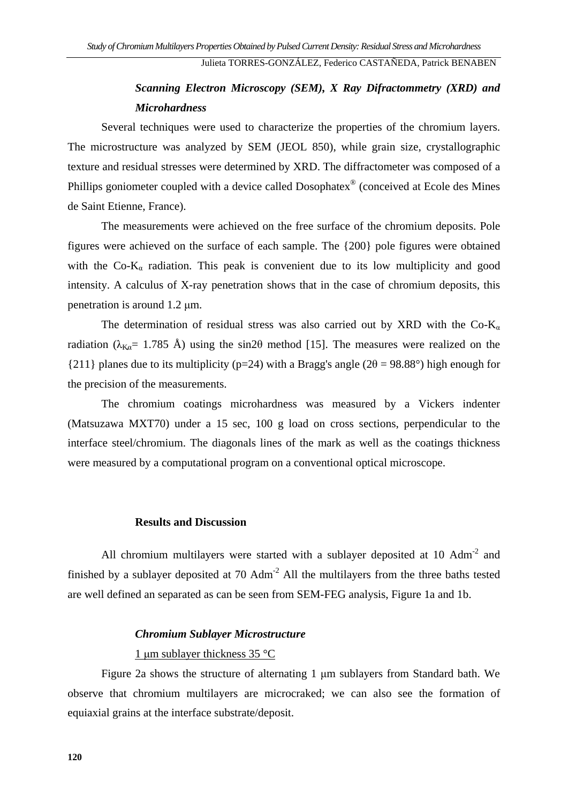## *Scanning Electron Microscopy (SEM), X Ray Difractommetry (XRD) and Microhardness*

Several techniques were used to characterize the properties of the chromium layers. The microstructure was analyzed by SEM (JEOL 850), while grain size, crystallographic texture and residual stresses were determined by XRD. The diffractometer was composed of a Phillips goniometer coupled with a device called Dosophatex® (conceived at Ecole des Mines de Saint Etienne, France).

The measurements were achieved on the free surface of the chromium deposits. Pole figures were achieved on the surface of each sample. The {200} pole figures were obtained with the  $Co-K_{\alpha}$  radiation. This peak is convenient due to its low multiplicity and good intensity. A calculus of X-ray penetration shows that in the case of chromium deposits, this penetration is around 1.2 μm.

The determination of residual stress was also carried out by XRD with the  $Co-K_a$ radiation ( $\lambda_{Ka}$ = 1.785 Å) using the sin2 $\theta$  method [15]. The measures were realized on the {211} planes due to its multiplicity (p=24) with a Bragg's angle (2 $\theta$  = 98.88°) high enough for the precision of the measurements.

The chromium coatings microhardness was measured by a Vickers indenter (Matsuzawa MXT70) under a 15 sec, 100 g load on cross sections, perpendicular to the interface steel/chromium. The diagonals lines of the mark as well as the coatings thickness were measured by a computational program on a conventional optical microscope.

#### **Results and Discussion**

All chromium multilayers were started with a sublayer deposited at 10 Adm<sup>-2</sup> and finished by a sublayer deposited at  $70$  Adm<sup>-2</sup> All the multilayers from the three baths tested are well defined an separated as can be seen from SEM-FEG analysis, Figure 1a and 1b.

#### *Chromium Sublayer Microstructure*

## 1 μm sublayer thickness 35 °C

Figure 2a shows the structure of alternating 1 μm sublayers from Standard bath. We observe that chromium multilayers are microcraked; we can also see the formation of equiaxial grains at the interface substrate/deposit.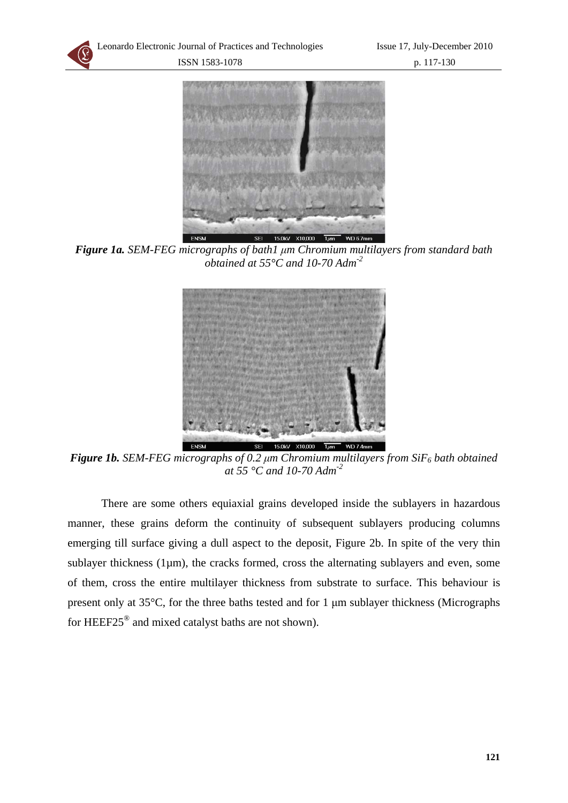

*Figure 1a. SEM-FEG micrographs of bath1 μm Chromium multilayers from standard bath obtained at 55°C and 10-70 Adm-2* 



*Figure 1b. SEM-FEG micrographs of 0.2 μm Chromium multilayers from SiF<sub>6</sub> bath obtained at 55 °C and 10-70 Adm-2*

There are some others equiaxial grains developed inside the sublayers in hazardous manner, these grains deform the continuity of subsequent sublayers producing columns emerging till surface giving a dull aspect to the deposit, Figure 2b. In spite of the very thin sublayer thickness (1µm), the cracks formed, cross the alternating sublayers and even, some of them, cross the entire multilayer thickness from substrate to surface. This behaviour is present only at 35°C, for the three baths tested and for 1 μm sublayer thickness (Micrographs for HEEF25® and mixed catalyst baths are not shown).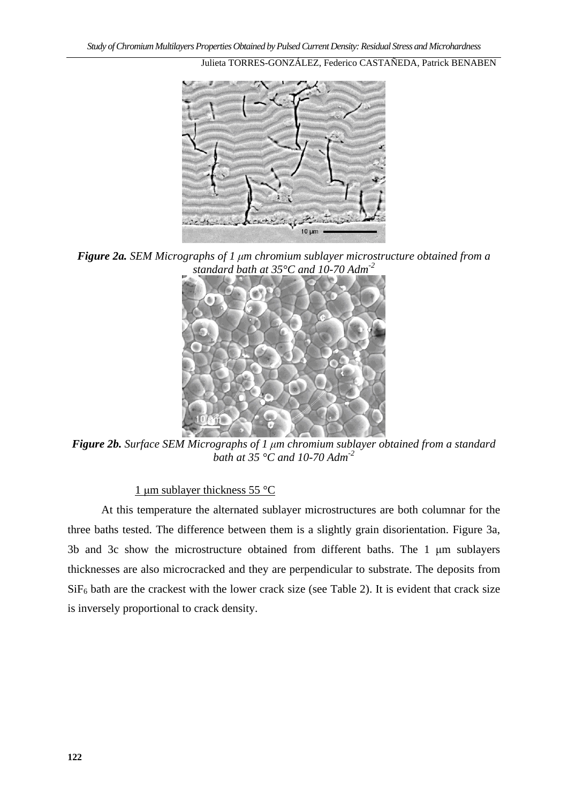

*Figure 2a. SEM Micrographs of 1 μm chromium sublayer microstructure obtained from a standard bath at 35°C and 10-70 Adm-2*



*Figure 2b. Surface SEM Micrographs of 1 μm chromium sublayer obtained from a standard bath at 35 °C and 10-70 Adm-2*

## 1 μm sublayer thickness 55 °C

At this temperature the alternated sublayer microstructures are both columnar for the three baths tested. The difference between them is a slightly grain disorientation. Figure 3a, 3b and 3c show the microstructure obtained from different baths. The 1 μm sublayers thicknesses are also microcracked and they are perpendicular to substrate. The deposits from  $SiF<sub>6</sub>$  bath are the crackest with the lower crack size (see Table 2). It is evident that crack size is inversely proportional to crack density.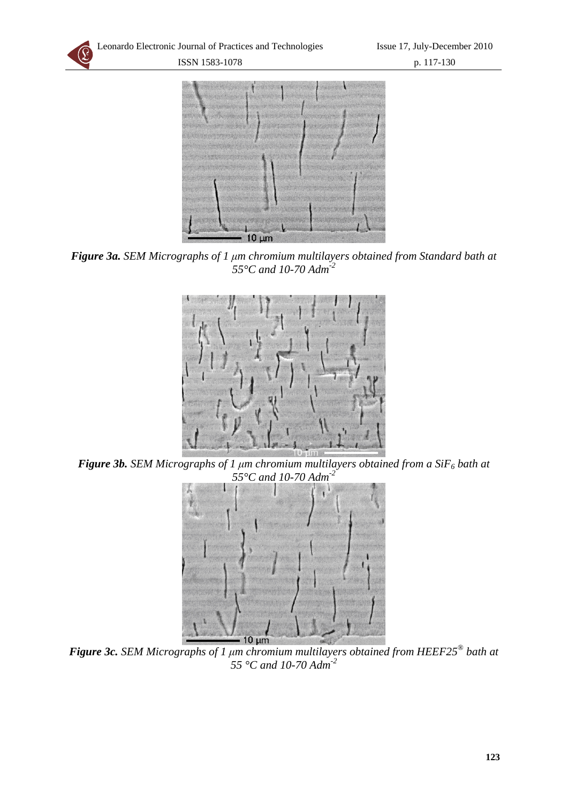Leonardo Electronic Journal of Practices and Technologies ISSN 1583-1078

Issue 17, July-December 2010 p. 117-130



*Figure 3a. SEM Micrographs of 1 μm chromium multilayers obtained from Standard bath at 55°C and 10-70 Adm-2* 



*Figure 3b. SEM Micrographs of 1 μm chromium multilayers obtained from a SiF6 bath at 55°C and 10-70 Adm-2*



*Figure 3c. SEM Micrographs of 1 μm chromium multilayers obtained from HEEF25® bath at 55 °C and 10-70 Adm-2*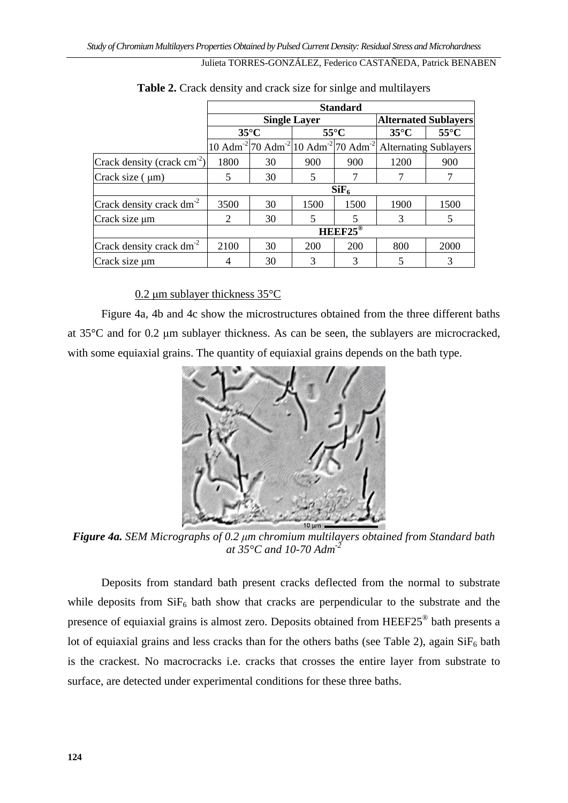|                                  | <b>Standard</b>  |                     |                                                                                          |                             |                |                              |  |
|----------------------------------|------------------|---------------------|------------------------------------------------------------------------------------------|-----------------------------|----------------|------------------------------|--|
|                                  |                  | <b>Single Layer</b> |                                                                                          | <b>Alternated Sublayers</b> |                |                              |  |
|                                  |                  | $35^{\circ}$ C      | $55^{\circ}$ C                                                                           |                             | $35^{\circ}$ C | $55^{\circ}$ C               |  |
|                                  |                  |                     | $10$ Adm <sup>-2</sup>  70 Adm <sup>-2</sup>  10 Adm <sup>-2</sup>  70 Adm <sup>-2</sup> |                             |                | <b>Alternating Sublayers</b> |  |
| Crack density (crack $cm^{-2}$ ) | 1800             | 30                  | 900                                                                                      | 900                         | 1200           | 900                          |  |
| Crack size $(\mu m)$             | 5                | 30                  | 5                                                                                        |                             |                |                              |  |
|                                  | SiF <sub>6</sub> |                     |                                                                                          |                             |                |                              |  |
| Crack density crack $dm-2$       | 3500             | 30                  | 1500                                                                                     | 1500                        | 1900           | 1500                         |  |
| Crack size µm                    | 2                | 30                  | 5                                                                                        | 5                           | 3              | 5                            |  |
|                                  | $HEEF25^{\circ}$ |                     |                                                                                          |                             |                |                              |  |
| Crack density crack $dm-2$       | 2100             | 30                  | 200                                                                                      | 200                         | 800            | 2000                         |  |
| Crack size µm                    | 4                | 30                  | 3                                                                                        | 3                           | 5              | 3                            |  |

**Table 2.** Crack density and crack size for sinlge and multilayers

## 0.2 μm sublayer thickness 35°C

Figure 4a, 4b and 4c show the microstructures obtained from the three different baths at 35°C and for 0.2 μm sublayer thickness. As can be seen, the sublayers are microcracked, with some equiaxial grains. The quantity of equiaxial grains depends on the bath type.



*Figure 4a. SEM Micrographs of 0.2 μm chromium multilayers obtained from Standard bath at 35°C and 10-70 Adm-2* 

Deposits from standard bath present cracks deflected from the normal to substrate while deposits from  $SiF_6$  bath show that cracks are perpendicular to the substrate and the presence of equiaxial grains is almost zero. Deposits obtained from HEEF25® bath presents a lot of equiaxial grains and less cracks than for the others baths (see Table 2), again  $\text{SiF}_6$  bath is the crackest. No macrocracks i.e. cracks that crosses the entire layer from substrate to surface, are detected under experimental conditions for these three baths.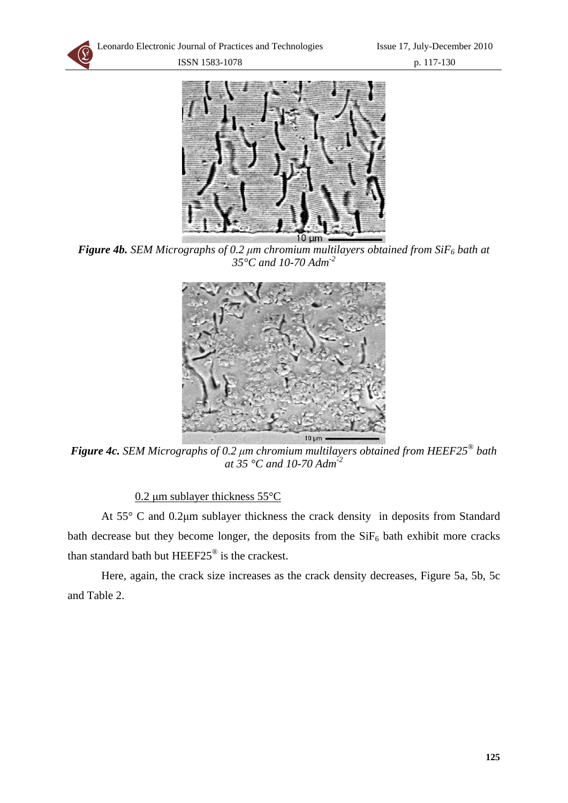Leonardo Electronic Journal of Practices and Technologies ISSN 1583-1078

Issue 17, July-December 2010 p. 117-130



*Figure 4b. SEM Micrographs of 0.2 μm chromium multilayers obtained from SiF<sub>6</sub> bath at 35°C and 10-70 Adm-2* 



*Figure 4c. SEM Micrographs of 0.2 μm chromium multilayers obtained from HEEF25® bath at 35 °C and 10-70 Adm-2*

0.2 μm sublayer thickness 55°C

At 55° C and 0.2μm sublayer thickness the crack density in deposits from Standard bath decrease but they become longer, the deposits from the  $SiF<sub>6</sub>$  bath exhibit more cracks than standard bath but HEEF25® is the crackest.

Here, again, the crack size increases as the crack density decreases, Figure 5a, 5b, 5c and Table 2.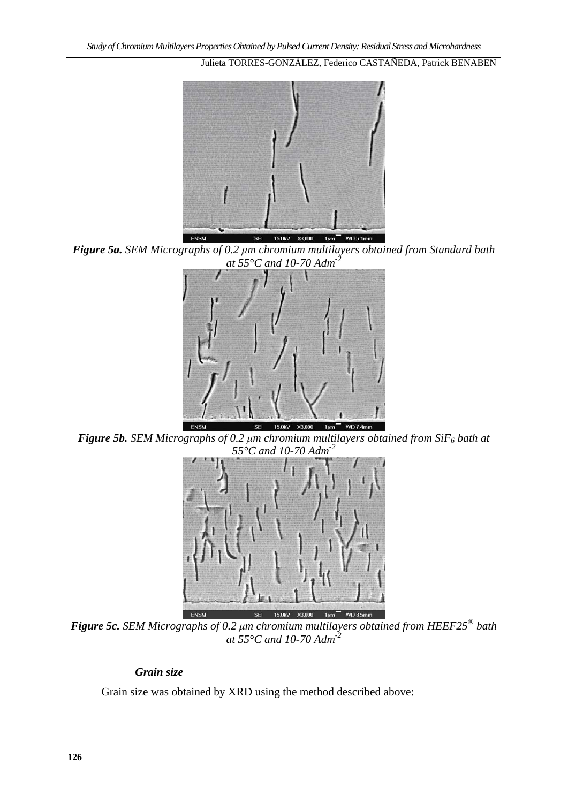

*Figure 5a. SEM Micrographs of 0.2 μm chromium multilayers obtained from Standard bath at 55°C and 10-70 Adm-2* 



*Figure 5b. SEM Micrographs of 0.2 μm chromium multilayers obtained from SiF6 bath at 55°C and 10-70 Adm-2* 



*Figure 5c. SEM Micrographs of 0.2 μm chromium multilayers obtained from HEEF25® bath at 55°C and 10-70 Adm-2*

#### *Grain size*

Grain size was obtained by XRD using the method described above: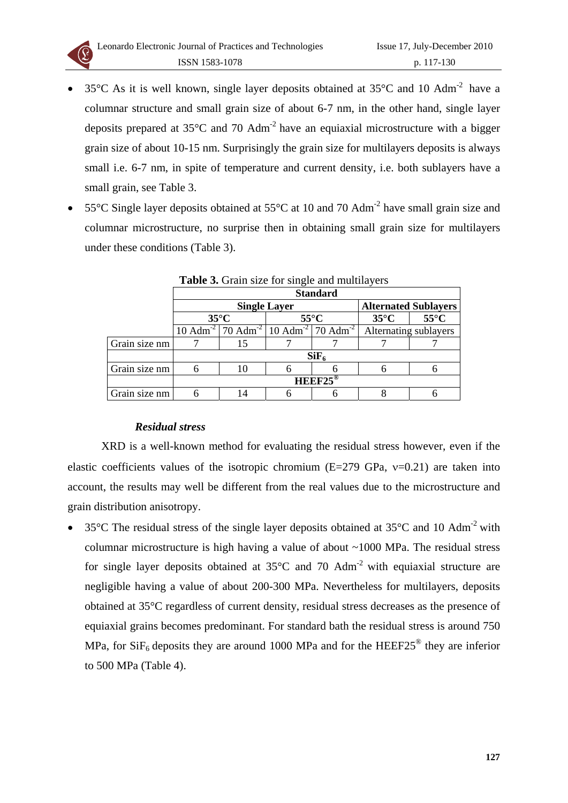

- 35 $\degree$ C As it is well known, single layer deposits obtained at 35 $\degree$ C and 10 Adm<sup>-2</sup> have a columnar structure and small grain size of about 6-7 nm, in the other hand, single layer deposits prepared at  $35^{\circ}$ C and  $70$  Adm<sup>-2</sup> have an equiaxial microstructure with a bigger grain size of about 10-15 nm. Surprisingly the grain size for multilayers deposits is always small i.e. 6-7 nm, in spite of temperature and current density, i.e. both sublayers have a small grain, see Table 3.
- 55°C Single layer deposits obtained at 55°C at 10 and 70 Adm-2 have small grain size and columnar microstructure, no surprise then in obtaining small grain size for multilayers under these conditions (Table 3).

|               | <b>Standard</b>        |                        |                             |                        |                       |                |  |  |
|---------------|------------------------|------------------------|-----------------------------|------------------------|-----------------------|----------------|--|--|
|               |                        | <b>Single Layer</b>    | <b>Alternated Sublayers</b> |                        |                       |                |  |  |
|               | $35^{\circ}$ C         |                        | $55^{\circ}$ C              |                        | $35^{\circ}$ C        | $55^{\circ}$ C |  |  |
|               | $10$ Adm <sup>-2</sup> | $70$ Adm <sup>-2</sup> | $10$ Adm <sup>-2</sup>      | $70$ Adm <sup>-2</sup> | Alternating sublayers |                |  |  |
| Grain size nm |                        | 15                     |                             |                        |                       |                |  |  |
|               | SiF <sub>6</sub>       |                        |                             |                        |                       |                |  |  |
| Grain size nm | h                      | 10                     |                             |                        |                       |                |  |  |
|               | $HEEF25^{\circledR}$   |                        |                             |                        |                       |                |  |  |
| Grain size nm |                        | 14                     |                             |                        |                       |                |  |  |
|               |                        |                        |                             |                        |                       |                |  |  |

**Table 3.** Grain size for single and multilayers

## *Residual stress*

XRD is a well-known method for evaluating the residual stress however, even if the elastic coefficients values of the isotropic chromium ( $E=279$  GPa,  $v=0.21$ ) are taken into account, the results may well be different from the real values due to the microstructure and grain distribution anisotropy.

35°C The residual stress of the single layer deposits obtained at 35°C and 10 Adm<sup>-2</sup> with columnar microstructure is high having a value of about ~1000 MPa. The residual stress for single layer deposits obtained at  $35^{\circ}$ C and  $70$  Adm<sup>-2</sup> with equiaxial structure are negligible having a value of about 200-300 MPa. Nevertheless for multilayers, deposits obtained at 35°C regardless of current density, residual stress decreases as the presence of equiaxial grains becomes predominant. For standard bath the residual stress is around 750 MPa, for  $SiF_6$  deposits they are around 1000 MPa and for the HEEF25<sup>®</sup> they are inferior to 500 MPa (Table 4).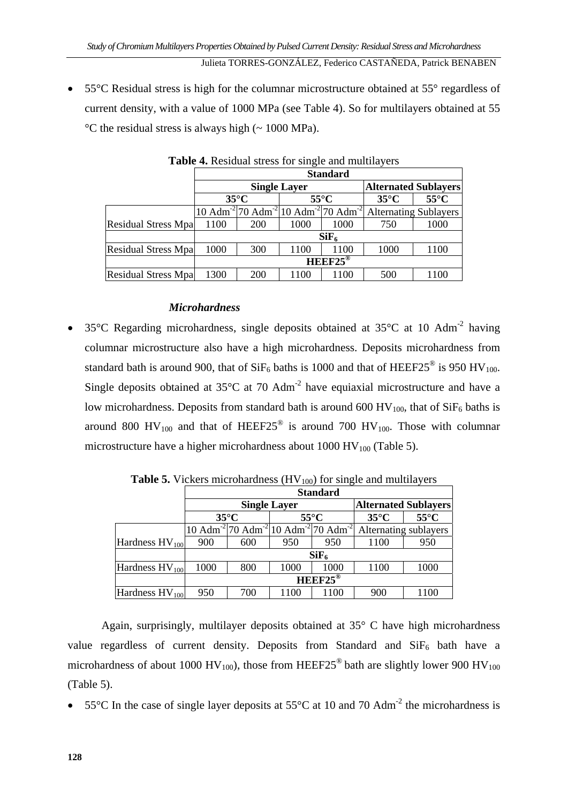• 55°C Residual stress is high for the columnar microstructure obtained at 55° regardless of current density, with a value of 1000 MPa (see Table 4). So for multilayers obtained at 55  $\degree$ C the residual stress is always high ( $\sim$  1000 MPa).

|                            | <b>Standard</b>     |                                                                                          |                |      |                             |                              |  |
|----------------------------|---------------------|------------------------------------------------------------------------------------------|----------------|------|-----------------------------|------------------------------|--|
|                            | <b>Single Layer</b> |                                                                                          |                |      | <b>Alternated Sublayers</b> |                              |  |
|                            |                     | $35^{\circ}$ C                                                                           | $55^{\circ}$ C |      | $35^{\circ}$ C              | $55^{\circ}$ C               |  |
|                            |                     | $10$ Adm <sup>-2</sup> /70 Adm <sup>-2</sup> /10 Adm <sup>-2</sup> /70 Adm <sup>-2</sup> |                |      |                             | <b>Alternating Sublayers</b> |  |
| <b>Residual Stress Mpa</b> | 1100                | <b>200</b>                                                                               | 1000           | 1000 | 750                         | 1000                         |  |
|                            | SiF <sub>6</sub>    |                                                                                          |                |      |                             |                              |  |
| <b>Residual Stress Mpa</b> | 1000                | 300                                                                                      | 1100           | 1100 | 1000                        | 1100                         |  |
|                            | $HEEF25^{\circ}$    |                                                                                          |                |      |                             |                              |  |
| <b>Residual Stress Mpa</b> | 1300                | 200                                                                                      | 1100           | 1100 | 500                         | 1100                         |  |

#### **Table 4.** Residual stress for single and multilayers

#### *Microhardness*

35 $\degree$ C Regarding microhardness, single deposits obtained at 35 $\degree$ C at 10 Adm<sup>-2</sup> having columnar microstructure also have a high microhardness. Deposits microhardness from standard bath is around 900, that of  $\text{SiF}_6$  baths is 1000 and that of HEEF25<sup>®</sup> is 950 HV<sub>100</sub>. Single deposits obtained at  $35^{\circ}$ C at 70 Adm<sup>-2</sup> have equiaxial microstructure and have a low microhardness. Deposits from standard bath is around 600 HV<sub>100</sub>, that of  $\text{SiF}_6$  baths is around 800 HV<sub>100</sub> and that of HEEF25<sup>®</sup> is around 700 HV<sub>100</sub>. Those with columnar microstructure have a higher microhardness about  $1000 \text{ HV}_{100}$  (Table 5).

|                     | <b>Standard</b>      |                |                                                                                          |                |                             |                       |  |  |
|---------------------|----------------------|----------------|------------------------------------------------------------------------------------------|----------------|-----------------------------|-----------------------|--|--|
|                     | <b>Single Layer</b>  |                |                                                                                          |                | <b>Alternated Sublayers</b> |                       |  |  |
|                     |                      | $35^{\circ}$ C |                                                                                          | $55^{\circ}$ C | $35^{\circ}$ C              | $55^{\circ}$ C        |  |  |
|                     |                      |                | $10$ Adm <sup>-2</sup>  70 Adm <sup>-2</sup>  10 Adm <sup>-2</sup>  70 Adm <sup>-2</sup> |                |                             | Alternating sublayers |  |  |
| Hardness $HV_{100}$ | 900                  | 600            | 950                                                                                      | 950            | 1100                        | 950                   |  |  |
|                     | SiF <sub>6</sub>     |                |                                                                                          |                |                             |                       |  |  |
| Hardness $HV_{100}$ | 1000                 | 800            | 1000                                                                                     | 1000           | 1100                        | 1000                  |  |  |
|                     | $HEEF25^{\circledR}$ |                |                                                                                          |                |                             |                       |  |  |
| Hardness $HV_{100}$ | 950                  | 700            | 1100                                                                                     | 1100           | 900                         | 1100                  |  |  |

**Table 5.** Vickers microhardness  $(HV_{100})$  for single and multilayers

Again, surprisingly, multilayer deposits obtained at 35° C have high microhardness value regardless of current density. Deposits from Standard and  $SiF<sub>6</sub>$  bath have a microhardness of about 1000 HV<sub>100</sub>), those from HEEF25<sup>®</sup> bath are slightly lower 900 HV<sub>100</sub> (Table 5).

55°C In the case of single layer deposits at 55°C at 10 and 70 Adm<sup>-2</sup> the microhardness is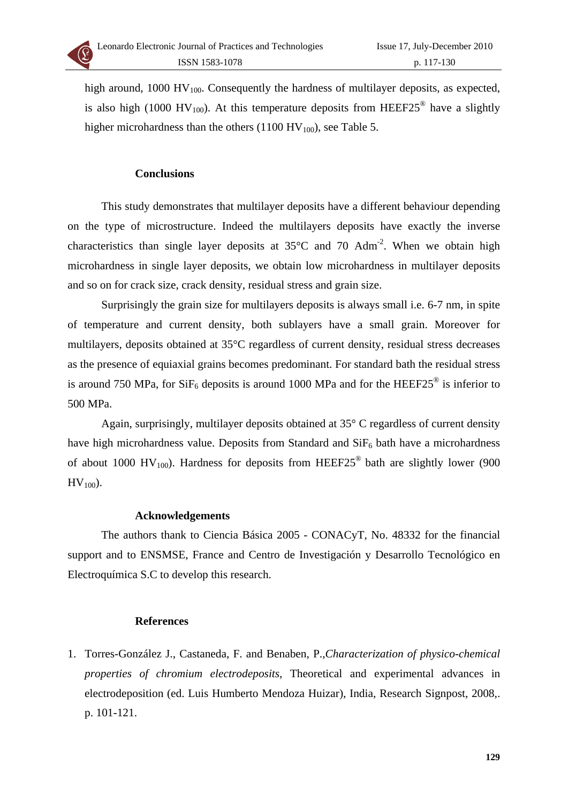

high around,  $1000 \text{ HV}_{100}$ . Consequently the hardness of multilayer deposits, as expected, is also high (1000 HV<sub>100</sub>). At this temperature deposits from HEEF25<sup>®</sup> have a slightly higher microhardness than the others  $(1100 \text{ HV}_{100})$ , see Table 5.

## **Conclusions**

This study demonstrates that multilayer deposits have a different behaviour depending on the type of microstructure. Indeed the multilayers deposits have exactly the inverse characteristics than single layer deposits at  $35^{\circ}$ C and  $70$  Adm<sup>-2</sup>. When we obtain high microhardness in single layer deposits, we obtain low microhardness in multilayer deposits and so on for crack size, crack density, residual stress and grain size.

Surprisingly the grain size for multilayers deposits is always small i.e. 6-7 nm, in spite of temperature and current density, both sublayers have a small grain. Moreover for multilayers, deposits obtained at 35°C regardless of current density, residual stress decreases as the presence of equiaxial grains becomes predominant. For standard bath the residual stress is around 750 MPa, for  $\text{SiF}_6$  deposits is around 1000 MPa and for the HEEF25<sup>®</sup> is inferior to 500 MPa.

Again, surprisingly, multilayer deposits obtained at 35° C regardless of current density have high microhardness value. Deposits from Standard and  $\text{SiF}_6$  bath have a microhardness of about 1000 HV<sub>100</sub>). Hardness for deposits from HEEF25<sup>®</sup> bath are slightly lower (900  $HV_{100}$ ).

#### **Acknowledgements**

The authors thank to Ciencia Básica 2005 - CONACyT, No. 48332 for the financial support and to ENSMSE, France and Centro de Investigación y Desarrollo Tecnológico en Electroquímica S.C to develop this research.

#### **References**

1. Torres-González J., Castaneda, F. and Benaben, P.,*Characterization of physico-chemical properties of chromium electrodeposits*, Theoretical and experimental advances in electrodeposition (ed. Luis Humberto Mendoza Huizar), India, Research Signpost, 2008,. p. 101-121.